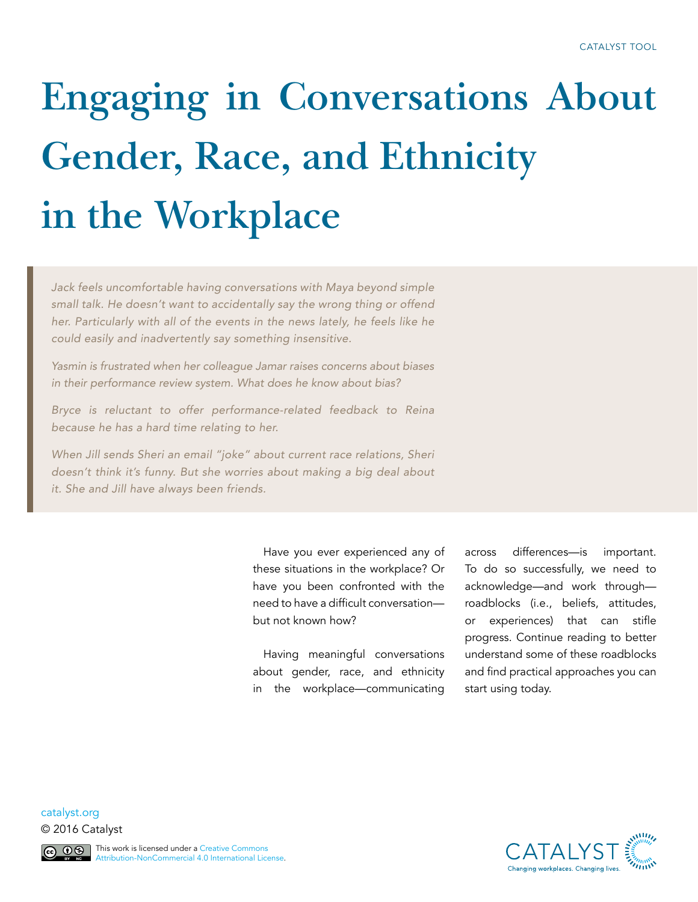# **Engaging in Conversations About Gender, Race, and Ethnicity in the Workplace**

*Jack feels uncomfortable having conversations with Maya beyond simple small talk. He doesn't want to accidentally say the wrong thing or offend her. Particularly with all of the events in the news lately, he feels like he could easily and inadvertently say something insensitive.*

*Yasmin is frustrated when her colleague Jamar raises concerns about biases in their performance review system. What does he know about bias?*

*Bryce is reluctant to offer performance-related feedback to Reina because he has a hard time relating to her.* 

*When Jill sends Sheri an email "joke" about current race relations, Sheri doesn't think it's funny. But she worries about making a big deal about it. She and Jill have always been friends.*

> Have you ever experienced any of these situations in the workplace? Or have you been confronted with the need to have a difficult conversation but not known how?

> Having meaningful conversations about gender, race, and ethnicity in the workplace—communicating

across differences—is important. To do so successfully, we need to acknowledge—and work through roadblocks (i.e., beliefs, attitudes, or experiences) that can stifle progress. Continue reading to better understand some of these roadblocks and find practical approaches you can start using today.

**CATALYST** 

[catalyst.org](http://www.catalyst.org) © 2016 Catalyst

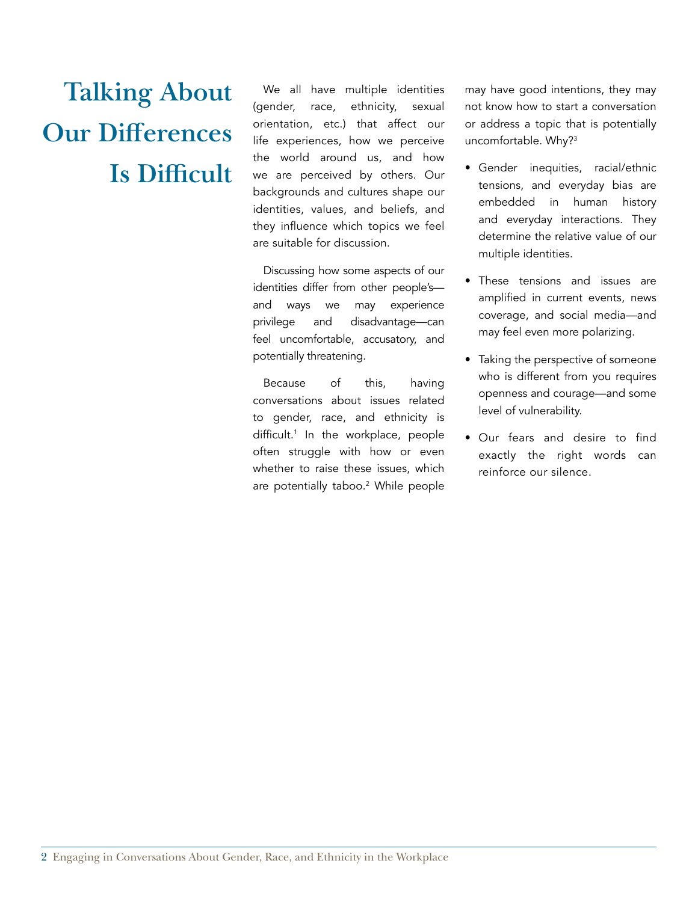## **Talking About Our Differences Is Difficult**

We all have multiple identities (gender, race, ethnicity, sexual orientation, etc.) that affect our life experiences, how we perceive the world around us, and how we are perceived by others. Our backgrounds and cultures shape our identities, values, and beliefs, and they influence which topics we feel are suitable for discussion.

Discussing how some aspects of our identities differ from other people's and ways we may experience privilege and disadvantage—can feel uncomfortable, accusatory, and potentially threatening.

Because of this, having conversations about issues related to gender, race, and ethnicity is difficult.<sup>1</sup> In the workplace, people often struggle with how or even whether to raise these issues, which are potentially taboo.<sup>2</sup> While people may have good intentions, they may not know how to start a conversation or address a topic that is potentially uncomfortable. Why?<sup>3</sup>

- Gender inequities, racial/ethnic tensions, and everyday bias are embedded in human history and everyday interactions. They determine the relative value of our multiple identities.
- These tensions and issues are amplified in current events, news coverage, and social media—and may feel even more polarizing.
- Taking the perspective of someone who is different from you requires openness and courage—and some level of vulnerability.
- Our fears and desire to find exactly the right words can reinforce our silence.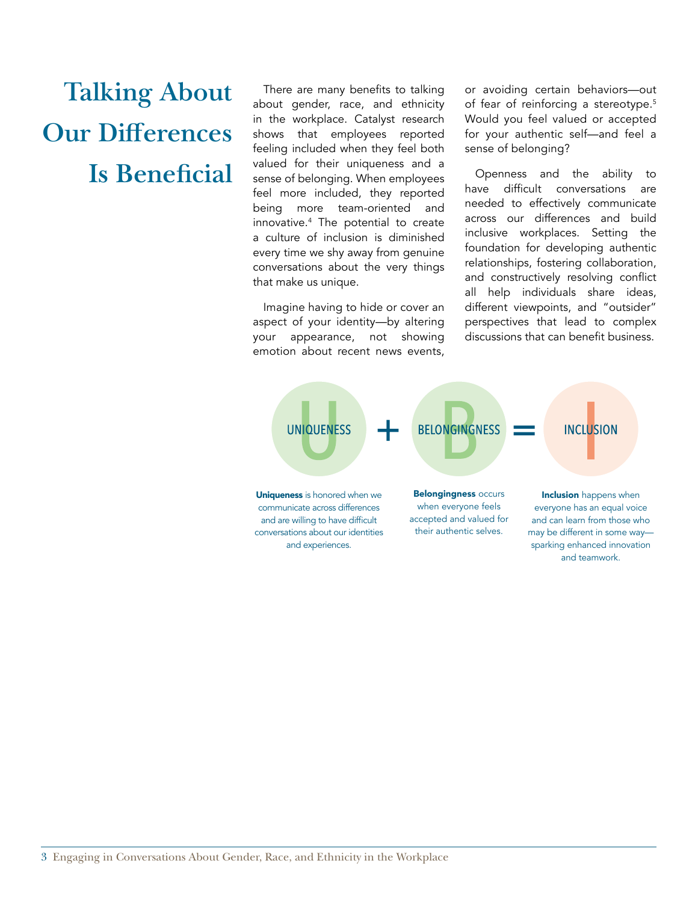### **Talking About Our Differences Is Beneficial**

There are many benefits to talking about gender, race, and ethnicity in the workplace. Catalyst research shows that employees reported feeling included when they feel both valued for their uniqueness and a sense of belonging. When employees feel more included, they reported being more team-oriented and innovative.4 The potential to create a culture of inclusion is diminished every time we shy away from genuine conversations about the very things that make us unique.

Imagine having to hide or cover an aspect of your identity—by altering your appearance, not showing emotion about recent news events, or avoiding certain behaviors—out of fear of reinforcing a stereotype.<sup>5</sup> Would you feel valued or accepted for your authentic self—and feel a sense of belonging?

Openness and the ability to have difficult conversations are needed to effectively communicate across our differences and build inclusive workplaces. Setting the foundation for developing authentic relationships, fostering collaboration, and constructively resolving conflict all help individuals share ideas, different viewpoints, and "outsider" perspectives that lead to complex discussions that can benefit business.

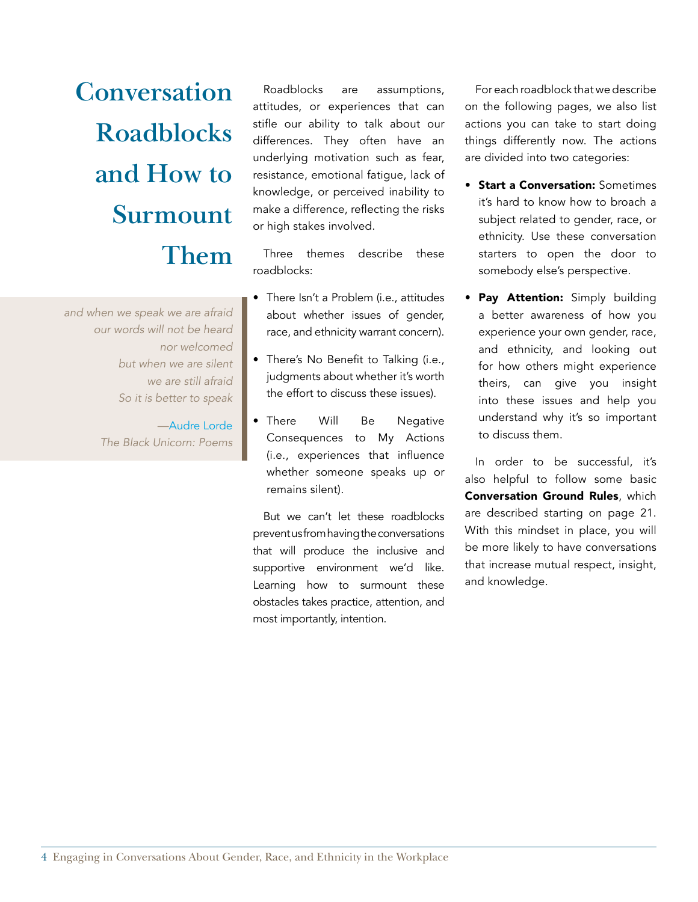**Conversation Roadblocks and How to Surmount Them**

*and when we speak we are afraid our words will not be heard nor welcomed but when we are silent we are still afraid So it is better to speak*

> [—Audre Lorde](http://www.goodreads.com/quotes/16250-and-when-we-speak-we-are-afraid-our-words-will) *The Black Unicorn: Poems*

Roadblocks are assumptions, attitudes, or experiences that can stifle our ability to talk about our differences. They often have an underlying motivation such as fear, resistance, emotional fatigue, lack of knowledge, or perceived inability to make a difference, reflecting the risks or high stakes involved.

Three themes describe these roadblocks:

- There Isn't a Problem (i.e., attitudes about whether issues of gender, race, and ethnicity warrant concern).
- There's No Benefit to Talking (i.e., judgments about whether it's worth the effort to discuss these issues).
- There Will Be Negative Consequences to My Actions (i.e., experiences that influence whether someone speaks up or remains silent).

But we can't let these roadblocks prevent us from having the conversations that will produce the inclusive and supportive environment we'd like. Learning how to surmount these obstacles takes practice, attention, and most importantly, intention.

For each roadblock that we describe on the following pages, we also list actions you can take to start doing things differently now. The actions are divided into two categories:

- Start a Conversation: Sometimes it's hard to know how to broach a subject related to gender, race, or ethnicity. Use these conversation starters to open the door to somebody else's perspective.
- Pay Attention: Simply building a better awareness of how you experience your own gender, race, and ethnicity, and looking out for how others might experience theirs, can give you insight into these issues and help you understand why it's so important to discuss them.

In order to be successful, it's also helpful to follow some basic Conversation Ground Rules, which are described starting on page 21. With this mindset in place, you will be more likely to have conversations that increase mutual respect, insight, and knowledge.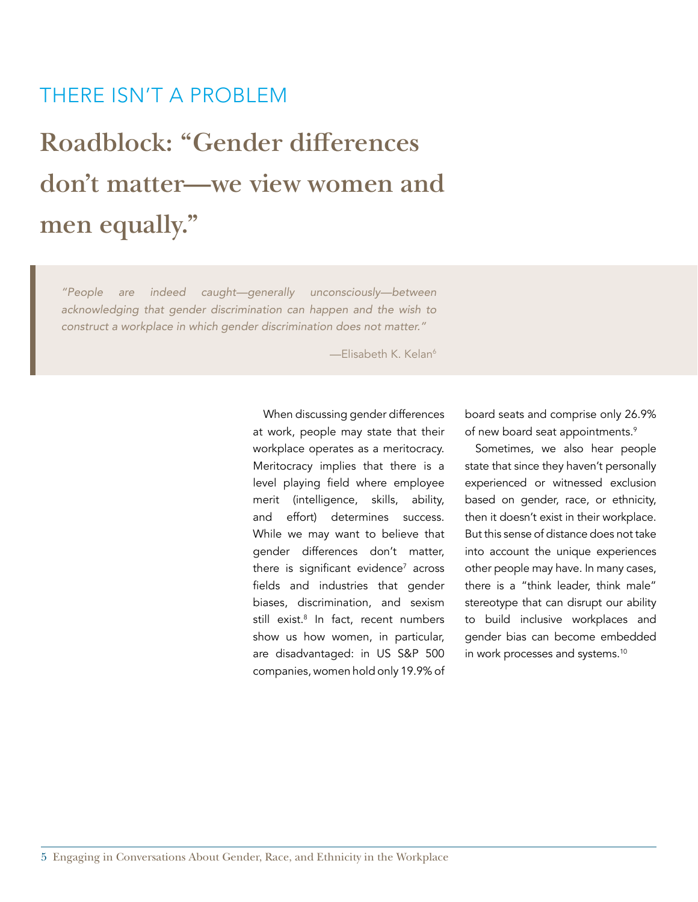#### THERE ISN'T A PROBLEM

### **Roadblock: "Gender differences don't matter—we view women and men equally."**

*"People are indeed caught—generally unconsciously—between acknowledging that gender discrimination can happen and the wish to construct a workplace in which gender discrimination does not matter."* 

-Elisabeth K. Kelan<sup>6</sup>

When discussing gender differences at work, people may state that their workplace operates as a meritocracy. Meritocracy implies that there is a level playing field where employee merit (intelligence, skills, ability, and effort) determines success. While we may want to believe that gender differences don't matter, there is significant evidence $^7$  across fields and industries that gender biases, discrimination, and sexism still exist.<sup>8</sup> In fact, recent numbers show us how women, in particular, are disadvantaged: in US S&P 500 companies, women hold only 19.9% of

board seats and comprise only 26.9% of new board seat appointments.<sup>9</sup>

Sometimes, we also hear people state that since they haven't personally experienced or witnessed exclusion based on gender, race, or ethnicity, then it doesn't exist in their workplace. But this sense of distance does not take into account the unique experiences other people may have. In many cases, there is a "think leader, think male" stereotype that can disrupt our ability to build inclusive workplaces and gender bias can become embedded in work processes and systems.<sup>10</sup>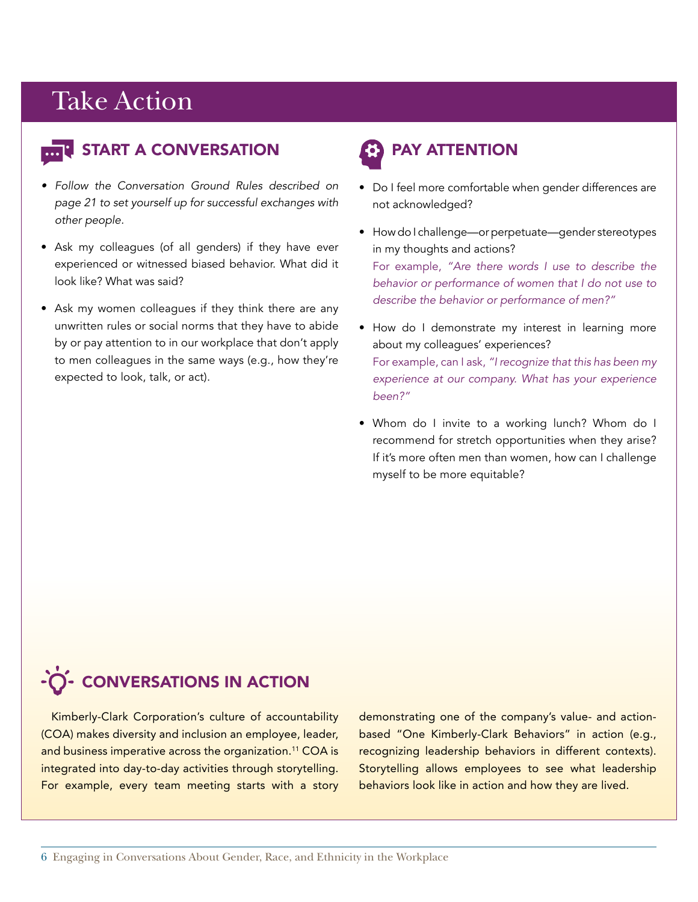### Take Action Take Action



#### **E** START A CONVERSATION

- *• Follow the Conversation Ground Rules described on page 21 to set yourself up for successful exchanges with other people.*
- Ask my colleagues (of all genders) if they have ever experienced or witnessed biased behavior. What did it look like? What was said?
- Ask my women colleagues if they think there are any unwritten rules or social norms that they have to abide by or pay attention to in our workplace that don't apply to men colleagues in the same ways (e.g., how they're expected to look, talk, or act).

### PAY ATTENTION

- Do I feel more comfortable when gender differences are not acknowledged?
- How do I challenge—or perpetuate—gender stereotypes in my thoughts and actions? For example, *"Are there words I use to describe the behavior or performance of women that I do not use to describe the behavior or performance of men?"*
- How do I demonstrate my interest in learning more about my colleagues' experiences? For example, can I ask, *"I recognize that this has been my experience at our company. What has your experience been?"*
- Whom do I invite to a working lunch? Whom do I recommend for stretch opportunities when they arise? If it's more often men than women, how can I challenge myself to be more equitable?

### -O- CONVERSATIONS IN ACTION

Kimberly-Clark Corporation's culture of accountability (COA) makes diversity and inclusion an employee, leader, and business imperative across the organization.<sup>11</sup> COA is integrated into day-to-day activities through storytelling. For example, every team meeting starts with a story demonstrating one of the company's value- and actionbased "One Kimberly-Clark Behaviors" in action (e.g., recognizing leadership behaviors in different contexts). Storytelling allows employees to see what leadership behaviors look like in action and how they are lived.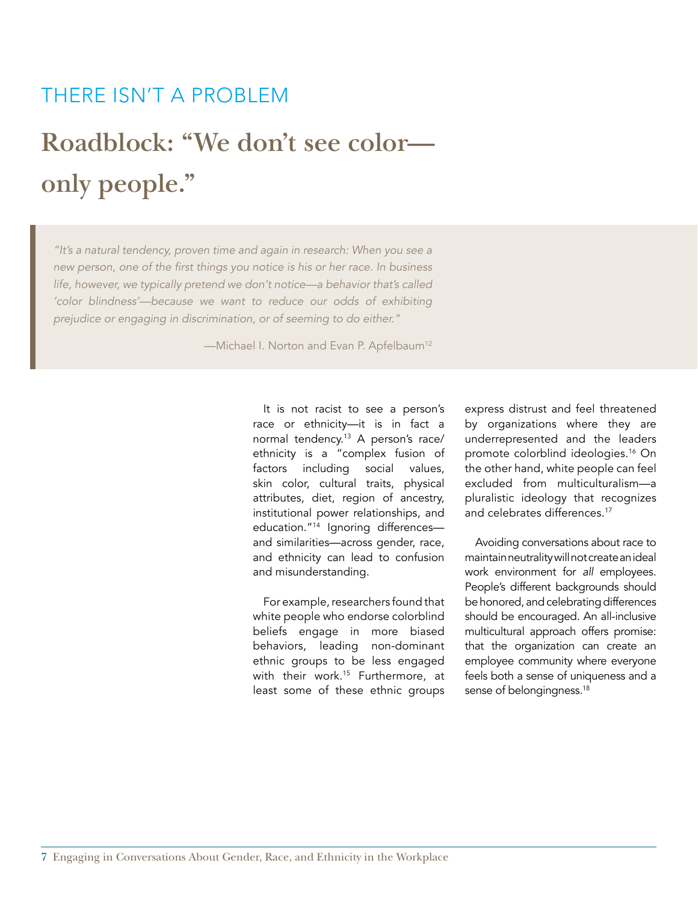#### THERE ISN'T A PROBLEM

### **Roadblock: "We don't see color only people."**

*"It's a natural tendency, proven time and again in research: When you see a*  new person, one of the first things you notice is his or her race. In business *life, however, we typically pretend we don't notice—a behavior that's called 'color blindness'—because we want to reduce our odds of exhibiting prejudice or engaging in discrimination, or of seeming to do either."* 

—Michael I. Norton and Evan P. Apfelbaum<sup>12</sup>

It is not racist to see a person's race or ethnicity—it is in fact a normal tendency.<sup>13</sup> A person's race/ ethnicity is a "complex fusion of factors including social values, skin color, cultural traits, physical attributes, diet, region of ancestry, institutional power relationships, and education."14 Ignoring differences and similarities—across gender, race, and ethnicity can lead to confusion and misunderstanding.

For example, researchers found that white people who endorse colorblind beliefs engage in more biased behaviors, leading non-dominant ethnic groups to be less engaged with their work.<sup>15</sup> Furthermore, at least some of these ethnic groups

express distrust and feel threatened by organizations where they are underrepresented and the leaders promote colorblind ideologies.<sup>16</sup> On the other hand, white people can feel excluded from multiculturalism—a pluralistic ideology that recognizes and celebrates differences.<sup>17</sup>

Avoiding conversations about race to maintain neutrality will not create an ideal work environment for *all* employees. People's different backgrounds should be honored, and celebrating differences should be encouraged. An all-inclusive multicultural approach offers promise: that the organization can create an employee community where everyone feels both a sense of uniqueness and a sense of belongingness.<sup>18</sup>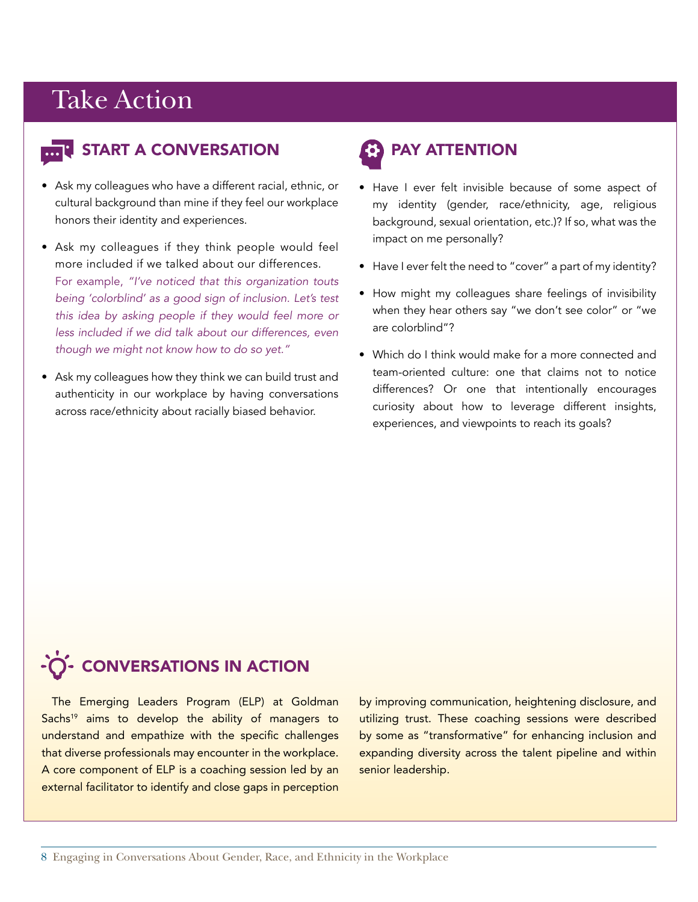#### **T START A CONVERSATION**

- Ask my colleagues who have a different racial, ethnic, or cultural background than mine if they feel our workplace honors their identity and experiences.
- Ask my colleagues if they think people would feel more included if we talked about our differences. For example, *"I've noticed that this organization touts being 'colorblind' as a good sign of inclusion. Let's test this idea by asking people if they would feel more or less included if we did talk about our differences, even though we might not know how to do so yet."*
- Ask my colleagues how they think we can build trust and authenticity in our workplace by having conversations across race/ethnicity about racially biased behavior.

### PAY ATTENTION

- Have I ever felt invisible because of some aspect of my identity (gender, race/ethnicity, age, religious background, sexual orientation, etc.)? If so, what was the impact on me personally?
- Have I ever felt the need to "cover" a part of my identity?
- How might my colleagues share feelings of invisibility when they hear others say "we don't see color" or "we are colorblind"?
- Which do I think would make for a more connected and team-oriented culture: one that claims not to notice differences? Or one that intentionally encourages curiosity about how to leverage different insights, experiences, and viewpoints to reach its goals?

### -Ò- CONVERSATIONS IN ACTION

The Emerging Leaders Program (ELP) at Goldman Sachs<sup>19</sup> aims to develop the ability of managers to understand and empathize with the specific challenges that diverse professionals may encounter in the workplace. A core component of ELP is a coaching session led by an external facilitator to identify and close gaps in perception by improving communication, heightening disclosure, and utilizing trust. These coaching sessions were described by some as "transformative" for enhancing inclusion and expanding diversity across the talent pipeline and within senior leadership.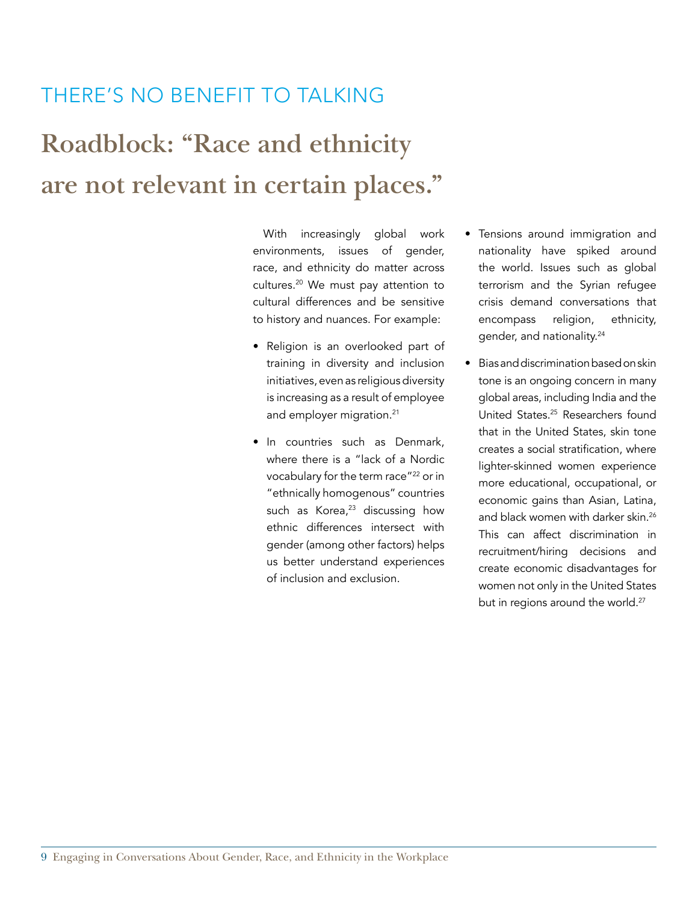#### THERE'S NO BENEFIT TO TALKING

### **Roadblock: "Race and ethnicity are not relevant in certain places."**

With increasingly global work environments, issues of gender, race, and ethnicity do matter across cultures.20 We must pay attention to cultural differences and be sensitive to history and nuances. For example:

- Religion is an overlooked part of training in diversity and inclusion initiatives, even as religious diversity is increasing as a result of employee and employer migration.<sup>21</sup>
- In countries such as Denmark, where there is a "lack of a Nordic vocabulary for the term race"22 or in "ethnically homogenous" countries such as Korea, $23$  discussing how ethnic differences intersect with gender (among other factors) helps us better understand experiences of inclusion and exclusion.
- Tensions around immigration and nationality have spiked around the world. Issues such as global terrorism and the Syrian refugee crisis demand conversations that encompass religion, ethnicity, gender, and nationality.24
- Bias and discrimination based on skin tone is an ongoing concern in many global areas, including India and the United States.25 Researchers found that in the United States, skin tone creates a social stratification, where lighter-skinned women experience more educational, occupational, or economic gains than Asian, Latina, and black women with darker skin.<sup>26</sup> This can affect discrimination in recruitment/hiring decisions and create economic disadvantages for women not only in the United States but in regions around the world.<sup>27</sup>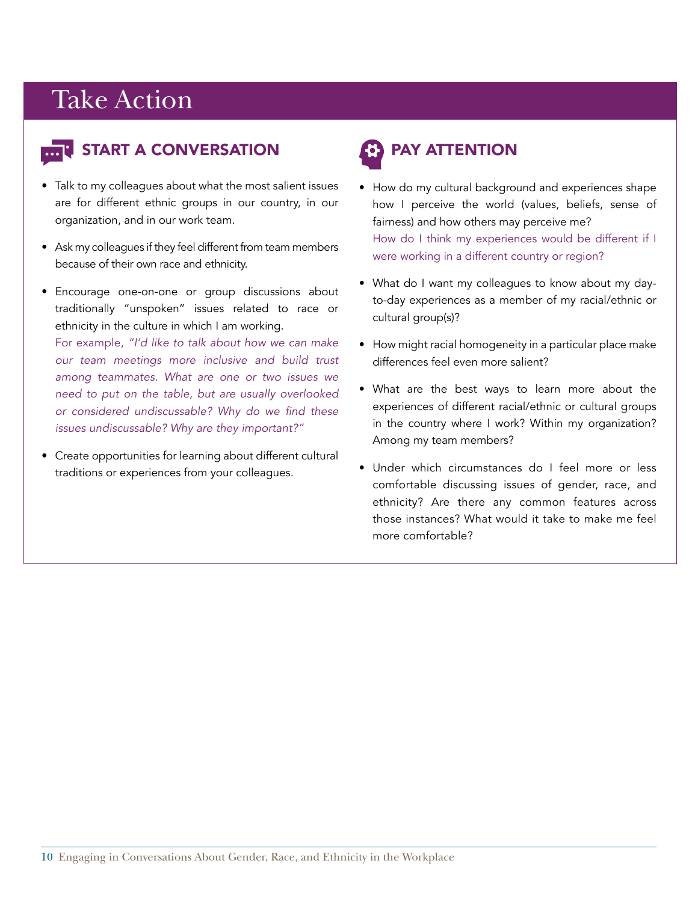

#### **E** START A CONVERSATION

- Talk to my colleagues about what the most salient issues are for different ethnic groups in our country, in our organization, and in our work team.
- Ask my colleagues if they feel different from team members because of their own race and ethnicity.
- Encourage one-on-one or group discussions about traditionally "unspoken" issues related to race or ethnicity in the culture in which I am working.

For example, *"I'd like to talk about how we can make our team meetings more inclusive and build trust among teammates. What are one or two issues we need to put on the table, but are usually overlooked*  or considered undiscussable? Why do we find these *issues undiscussable? Why are they important?"*

• Create opportunities for learning about different cultural traditions or experiences from your colleagues.

### PAY ATTENTION

- How do my cultural background and experiences shape how I perceive the world (values, beliefs, sense of fairness) and how others may perceive me? How do I think my experiences would be different if I were working in a different country or region?
- What do I want my colleagues to know about my dayto-day experiences as a member of my racial/ethnic or cultural group(s)?
- How might racial homogeneity in a particular place make differences feel even more salient?
- What are the best ways to learn more about the experiences of different racial/ethnic or cultural groups in the country where I work? Within my organization? Among my team members?
- Under which circumstances do I feel more or less comfortable discussing issues of gender, race, and ethnicity? Are there any common features across those instances? What would it take to make me feel more comfortable?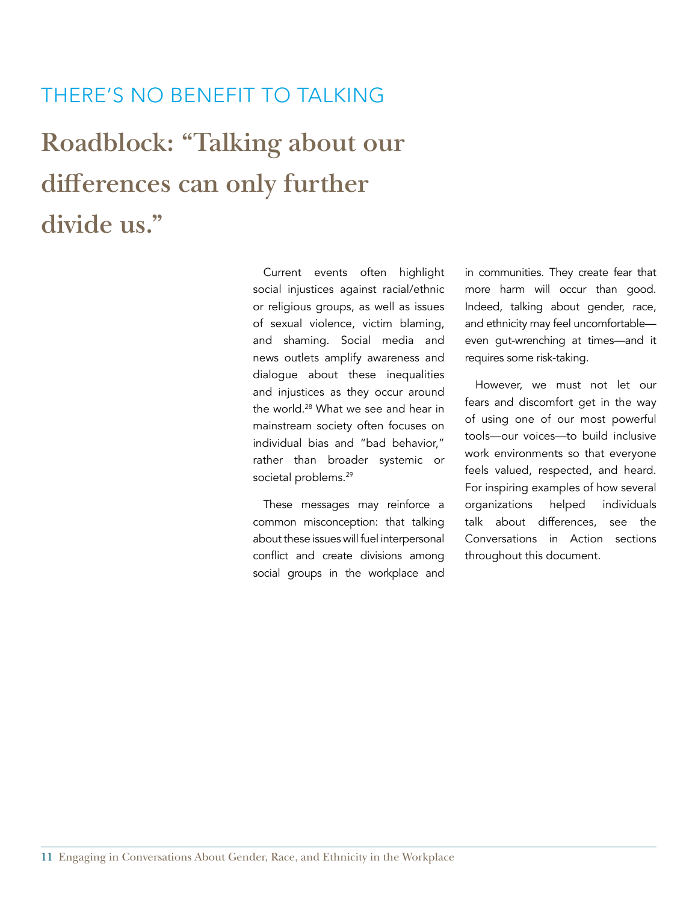#### THERE'S NO BENEFIT TO TALKING

**Roadblock: "Talking about our differences can only further divide us."**

> Current events often highlight social injustices against racial/ethnic or religious groups, as well as issues of sexual violence, victim blaming, and shaming. Social media and news outlets amplify awareness and dialogue about these inequalities and injustices as they occur around the world.<sup>28</sup> What we see and hear in mainstream society often focuses on individual bias and "bad behavior," rather than broader systemic or societal problems.<sup>29</sup>

> These messages may reinforce a common misconception: that talking about these issues will fuel interpersonal conflict and create divisions among social groups in the workplace and

in communities. They create fear that more harm will occur than good. Indeed, talking about gender, race, and ethnicity may feel uncomfortable even gut-wrenching at times—and it requires some risk-taking.

However, we must not let our fears and discomfort get in the way of using one of our most powerful tools—our voices—to build inclusive work environments so that everyone feels valued, respected, and heard. For inspiring examples of how several organizations helped individuals talk about differences, see the Conversations in Action sections throughout this document.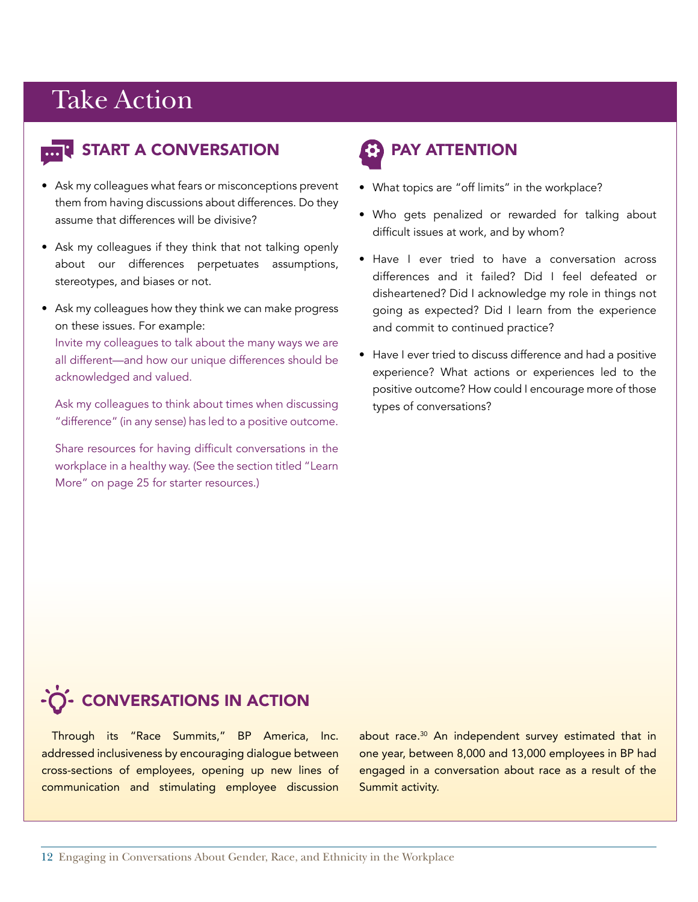#### **E** START A CONVERSATION

- Ask my colleagues what fears or misconceptions prevent them from having discussions about differences. Do they assume that differences will be divisive?
- Ask my colleagues if they think that not talking openly about our differences perpetuates assumptions, stereotypes, and biases or not.
- Ask my colleagues how they think we can make progress on these issues. For example:

Invite my colleagues to talk about the many ways we are all different—and how our unique differences should be acknowledged and valued.

Ask my colleagues to think about times when discussing "difference" (in any sense) has led to a positive outcome.

Share resources for having difficult conversations in the workplace in a healthy way. (See the section titled "Learn More" on page 25 for starter resources.)

### PAY ATTENTION

- What topics are "off limits" in the workplace?
- Who gets penalized or rewarded for talking about difficult issues at work, and by whom?
- Have I ever tried to have a conversation across differences and it failed? Did I feel defeated or disheartened? Did I acknowledge my role in things not going as expected? Did I learn from the experience and commit to continued practice?
- Have I ever tried to discuss difference and had a positive experience? What actions or experiences led to the positive outcome? How could I encourage more of those types of conversations?

### -O- CONVERSATIONS IN ACTION

Through its "Race Summits," BP America, Inc. addressed inclusiveness by encouraging dialogue between cross-sections of employees, opening up new lines of communication and stimulating employee discussion about race.<sup>30</sup> An independent survey estimated that in one year, between 8,000 and 13,000 employees in BP had engaged in a conversation about race as a result of the Summit activity.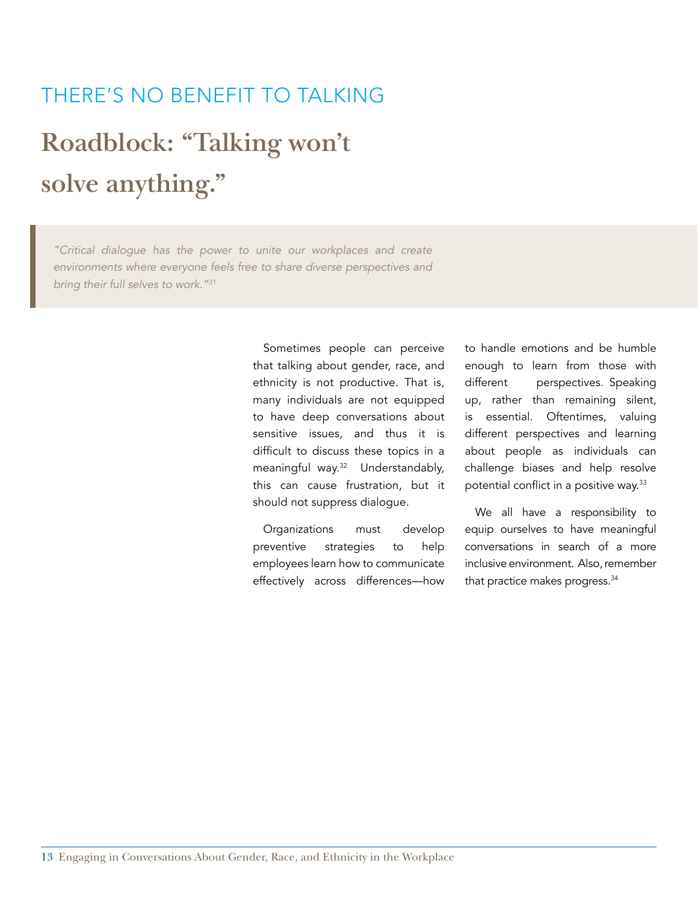## **Roadblock: "Talking won't solve anything."** THERE'S NO BENEFIT TO TALKING

*"Critical dialogue has the power to unite our workplaces and create environments where everyone feels free to share diverse perspectives and bring their full selves to work."31*

> Sometimes people can perceive that talking about gender, race, and ethnicity is not productive. That is, many individuals are not equipped to have deep conversations about sensitive issues, and thus it is difficult to discuss these topics in a meaningful way.<sup>32</sup> Understandably, this can cause frustration, but it should not suppress dialogue.

> Organizations must develop preventive strategies to help employees learn how to communicate effectively across differences—how

to handle emotions and be humble enough to learn from those with different perspectives. Speaking up, rather than remaining silent, is essential. Oftentimes, valuing different perspectives and learning about people as individuals can challenge biases and help resolve potential conflict in a positive way.<sup>33</sup>

We all have a responsibility to equip ourselves to have meaningful conversations in search of a more inclusive environment. Also, remember that practice makes progress.<sup>34</sup>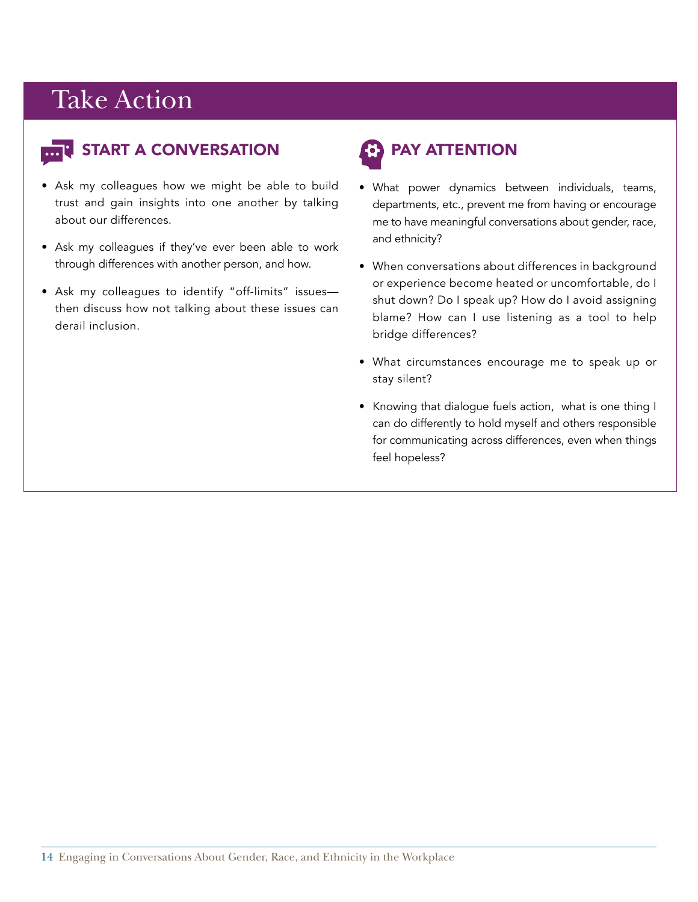

#### **R** START A CONVERSATION

- Ask my colleagues how we might be able to build trust and gain insights into one another by talking about our differences.
- Ask my colleagues if they've ever been able to work through differences with another person, and how.
- Ask my colleagues to identify "off-limits" issues then discuss how not talking about these issues can derail inclusion.

### PAY ATTENTION

- What power dynamics between individuals, teams, departments, etc., prevent me from having or encourage me to have meaningful conversations about gender, race, and ethnicity?
- When conversations about differences in background or experience become heated or uncomfortable, do I shut down? Do I speak up? How do I avoid assigning blame? How can I use listening as a tool to help bridge differences?
- What circumstances encourage me to speak up or stay silent?
- Knowing that dialogue fuels action, what is one thing I can do differently to hold myself and others responsible for communicating across differences, even when things feel hopeless?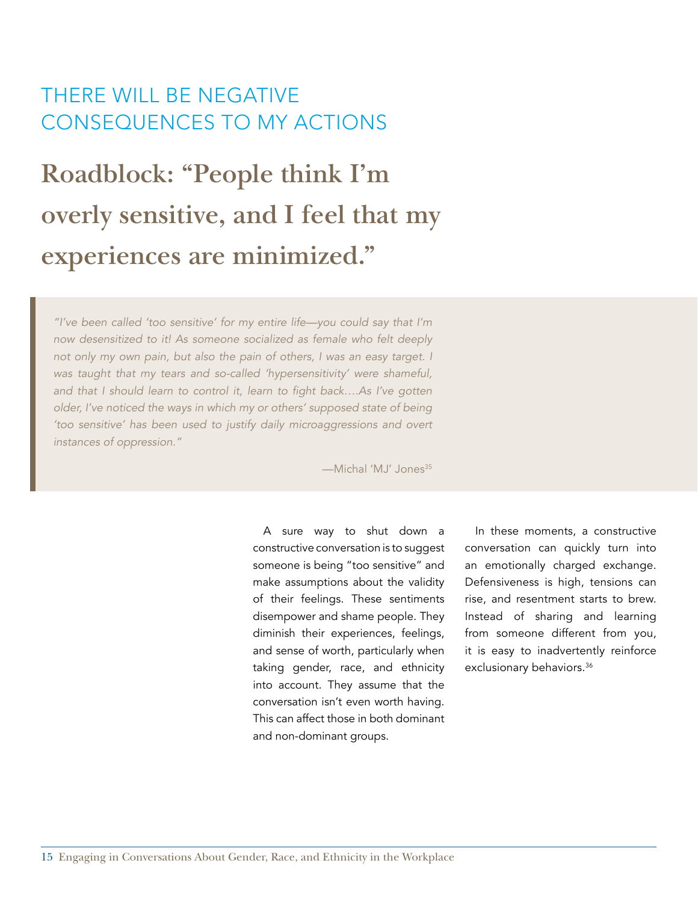#### THERE WILL BE NEGATIVE CONSEQUENCES TO MY ACTIONS

### **Roadblock: "People think I'm overly sensitive, and I feel that my experiences are minimized."**

*"I've been called 'too sensitive' for my entire life—you could say that I'm now desensitized to it! As someone socialized as female who felt deeply not only my own pain, but also the pain of others, I was an easy target. I was taught that my tears and so-called 'hypersensitivity' were shameful,*  and that I should learn to control it, learn to fight back….As I've gotten *older, I've noticed the ways in which my or others' supposed state of being 'too sensitive' has been used to justify daily microaggressions and overt instances of oppression."* 

-Michal 'MJ' Jones<sup>35</sup>

A sure way to shut down a constructive conversation is to suggest someone is being "too sensitive" and make assumptions about the validity of their feelings. These sentiments disempower and shame people. They diminish their experiences, feelings, and sense of worth, particularly when taking gender, race, and ethnicity into account. They assume that the conversation isn't even worth having. This can affect those in both dominant and non-dominant groups.

In these moments, a constructive conversation can quickly turn into an emotionally charged exchange. Defensiveness is high, tensions can rise, and resentment starts to brew. Instead of sharing and learning from someone different from you, it is easy to inadvertently reinforce exclusionary behaviors.<sup>36</sup>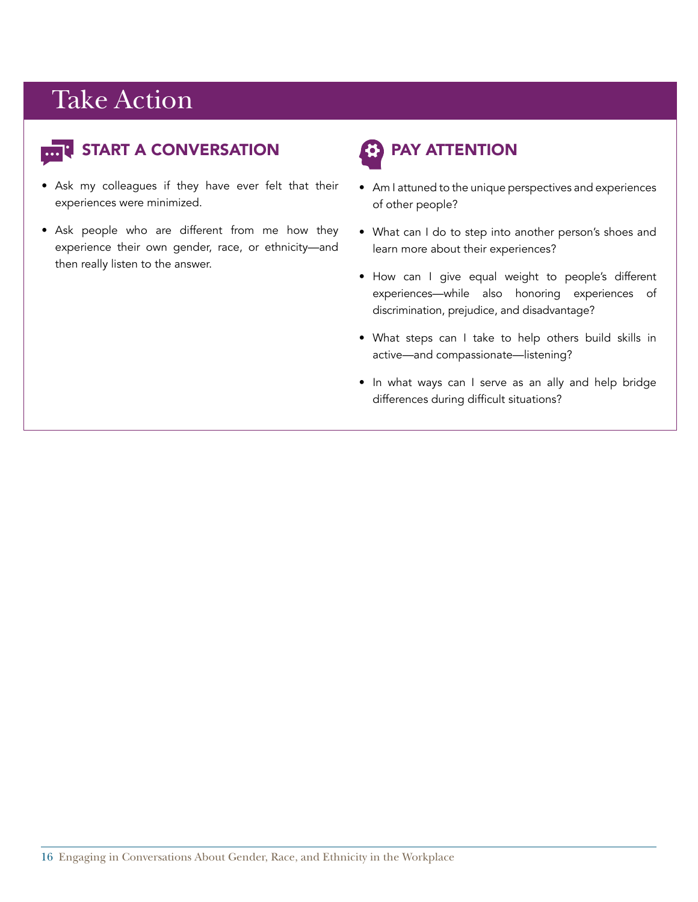

#### START A CONVERSATION

- Ask my colleagues if they have ever felt that their experiences were minimized.
- Ask people who are different from me how they experience their own gender, race, or ethnicity—and then really listen to the answer.

### PAY ATTENTION

- Am I attuned to the unique perspectives and experiences of other people?
- What can I do to step into another person's shoes and learn more about their experiences?
- How can I give equal weight to people's different experiences—while also honoring experiences of discrimination, prejudice, and disadvantage?
- What steps can I take to help others build skills in active—and compassionate—listening?
- In what ways can I serve as an ally and help bridge differences during difficult situations?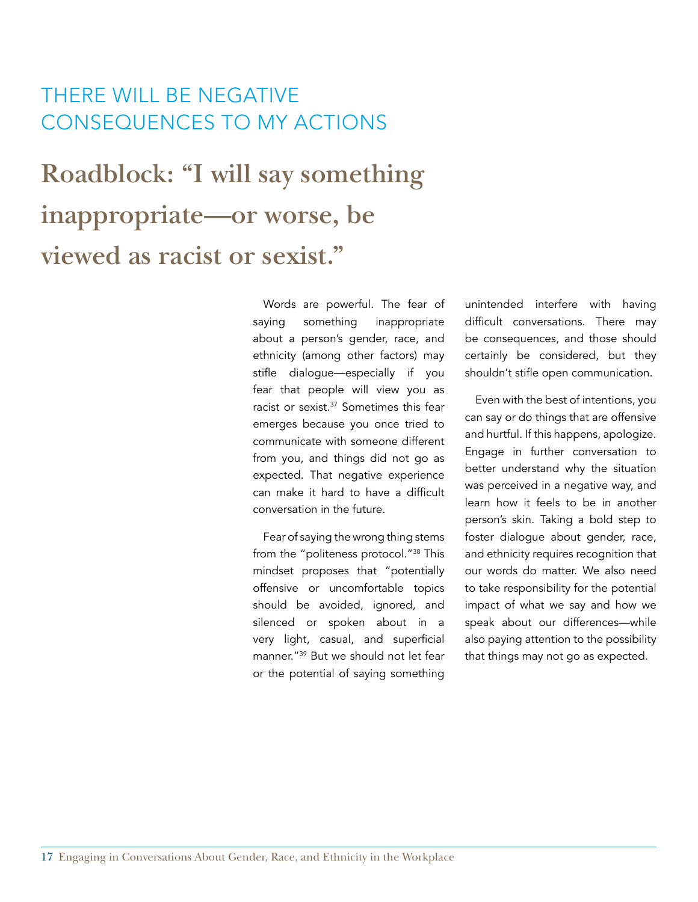#### THERE WILL BE NEGATIVE CONSEQUENCES TO MY ACTIONS

### **Roadblock: "I will say something inappropriate—or worse, be viewed as racist or sexist."**

Words are powerful. The fear of saying something inappropriate about a person's gender, race, and ethnicity (among other factors) may stifle dialogue—especially if you fear that people will view you as racist or sexist.<sup>37</sup> Sometimes this fear emerges because you once tried to communicate with someone different from you, and things did not go as expected. That negative experience can make it hard to have a difficult conversation in the future.

Fear of saying the wrong thing stems from the "politeness protocol."38 This mindset proposes that "potentially offensive or uncomfortable topics should be avoided, ignored, and silenced or spoken about in a very light, casual, and superficial manner."39 But we should not let fear or the potential of saying something

unintended interfere with having difficult conversations. There may be consequences, and those should certainly be considered, but they shouldn't stifle open communication.

Even with the best of intentions, you can say or do things that are offensive and hurtful. If this happens, apologize. Engage in further conversation to better understand why the situation was perceived in a negative way, and learn how it feels to be in another person's skin. Taking a bold step to foster dialogue about gender, race, and ethnicity requires recognition that our words do matter. We also need to take responsibility for the potential impact of what we say and how we speak about our differences—while also paying attention to the possibility that things may not go as expected.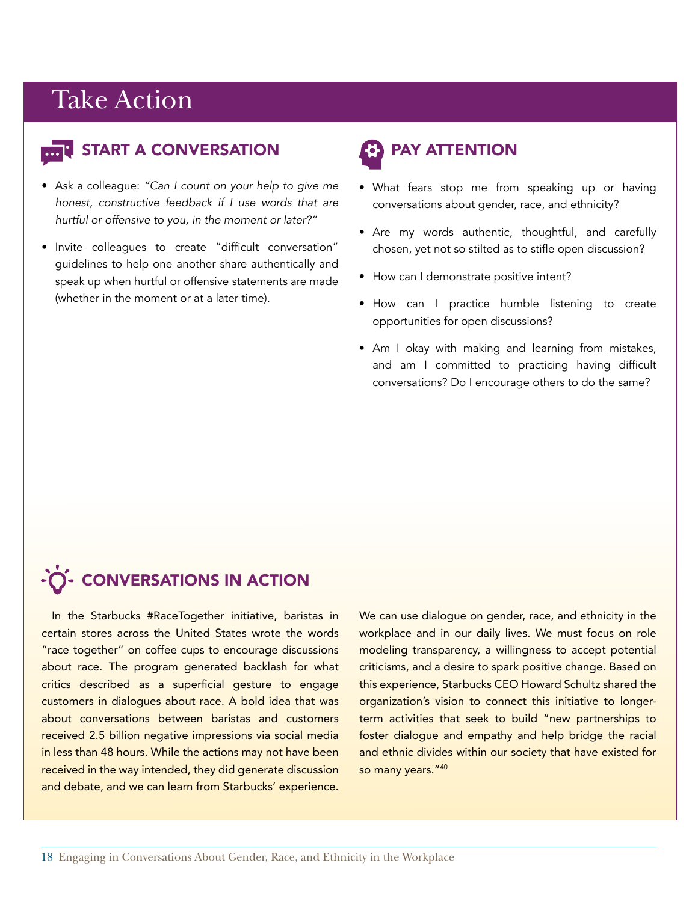

#### **T START A CONVERSATION**

- Ask a colleague: *"Can I count on your help to give me honest, constructive feedback if I use words that are hurtful or offensive to you, in the moment or later?"*
- Invite colleagues to create "difficult conversation" guidelines to help one another share authentically and speak up when hurtful or offensive statements are made (whether in the moment or at a later time).

### PAY ATTENTION

- What fears stop me from speaking up or having conversations about gender, race, and ethnicity?
- Are my words authentic, thoughtful, and carefully chosen, yet not so stilted as to stifle open discussion?
- How can I demonstrate positive intent?
- How can I practice humble listening to create opportunities for open discussions?
- Am I okay with making and learning from mistakes, and am I committed to practicing having difficult conversations? Do I encourage others to do the same?

#### -O- CONVERSATIONS IN ACTION

In the Starbucks #RaceTogether initiative, baristas in certain stores across the United States wrote the words "race together" on coffee cups to encourage discussions about race. The program generated backlash for what critics described as a superficial gesture to engage customers in dialogues about race. A bold idea that was about conversations between baristas and customers received 2.5 billion negative impressions via social media in less than 48 hours. While the actions may not have been received in the way intended, they did generate discussion and debate, and we can learn from Starbucks' experience.

We can use dialogue on gender, race, and ethnicity in the workplace and in our daily lives. We must focus on role modeling transparency, a willingness to accept potential criticisms, and a desire to spark positive change. Based on this experience, Starbucks CEO Howard Schultz shared the organization's vision to connect this initiative to longerterm activities that seek to build "new partnerships to foster dialogue and empathy and help bridge the racial and ethnic divides within our society that have existed for so many years."40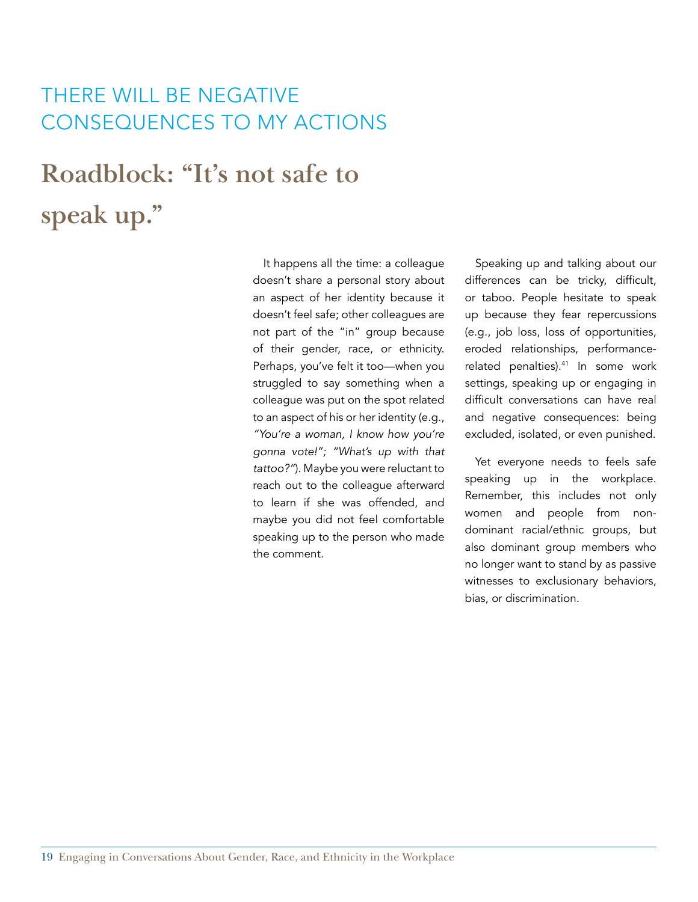#### THERE WILL BE NEGATIVE CONSEQUENCES TO MY ACTIONS

**Roadblock: "It's not safe to speak up."**

> It happens all the time: a colleague doesn't share a personal story about an aspect of her identity because it doesn't feel safe; other colleagues are not part of the "in" group because of their gender, race, or ethnicity. Perhaps, you've felt it too—when you struggled to say something when a colleague was put on the spot related to an aspect of his or her identity (e.g., *"You're a woman, I know how you're gonna vote!"; "What's up with that tattoo?"*). Maybe you were reluctant to reach out to the colleague afterward to learn if she was offended, and maybe you did not feel comfortable speaking up to the person who made the comment.

Speaking up and talking about our differences can be tricky, difficult, or taboo. People hesitate to speak up because they fear repercussions (e.g., job loss, loss of opportunities, eroded relationships, performancerelated penalties).<sup>41</sup> In some work settings, speaking up or engaging in difficult conversations can have real and negative consequences: being excluded, isolated, or even punished.

Yet everyone needs to feels safe speaking up in the workplace. Remember, this includes not only women and people from nondominant racial/ethnic groups, but also dominant group members who no longer want to stand by as passive witnesses to exclusionary behaviors, bias, or discrimination.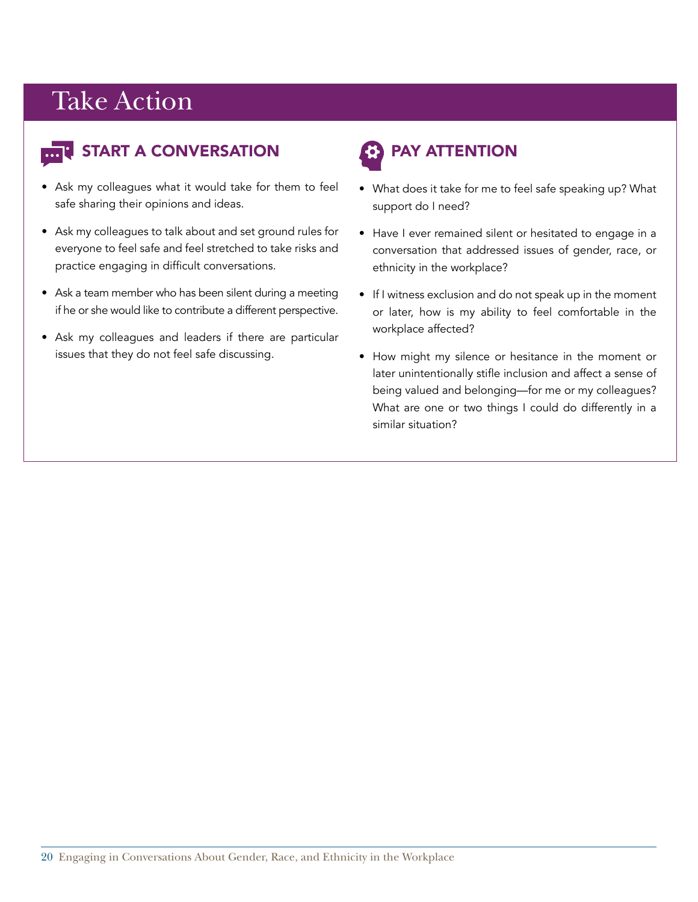#### START A CONVERSATION

- Ask my colleagues what it would take for them to feel safe sharing their opinions and ideas.
- Ask my colleagues to talk about and set ground rules for everyone to feel safe and feel stretched to take risks and practice engaging in difficult conversations.
- Ask a team member who has been silent during a meeting if he or she would like to contribute a different perspective.
- Ask my colleagues and leaders if there are particular issues that they do not feel safe discussing.

### PAY ATTENTION

- What does it take for me to feel safe speaking up? What support do I need?
- Have I ever remained silent or hesitated to engage in a conversation that addressed issues of gender, race, or ethnicity in the workplace?
- If I witness exclusion and do not speak up in the moment or later, how is my ability to feel comfortable in the workplace affected?
- How might my silence or hesitance in the moment or later unintentionally stifle inclusion and affect a sense of being valued and belonging—for me or my colleagues? What are one or two things I could do differently in a similar situation?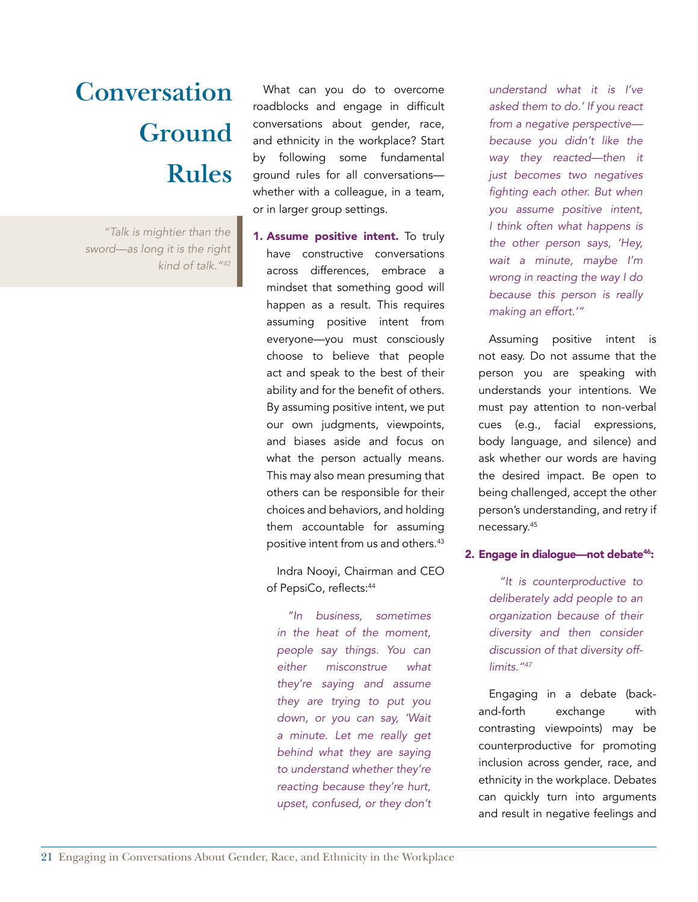*"Talk is mightier than the sword—as long it is the right kind of talk."42*

What can you do to overcome roadblocks and engage in difficult conversations about gender, race, and ethnicity in the workplace? Start by following some fundamental ground rules for all conversations whether with a colleague, in a team, or in larger group settings.

1. Assume positive intent. To truly have constructive conversations across differences, embrace a mindset that something good will happen as a result. This requires assuming positive intent from everyone—you must consciously choose to believe that people act and speak to the best of their ability and for the benefit of others. By assuming positive intent, we put our own judgments, viewpoints, and biases aside and focus on what the person actually means. This may also mean presuming that others can be responsible for their choices and behaviors, and holding them accountable for assuming positive intent from us and others.43

Indra Nooyi, Chairman and CEO of PepsiCo, reflects:<sup>44</sup>

*"In business, sometimes in the heat of the moment, people say things. You can either misconstrue what they're saying and assume they are trying to put you down, or you can say, 'Wait a minute. Let me really get behind what they are saying to understand whether they're reacting because they're hurt, upset, confused, or they don't* 

*understand what it is I've asked them to do.' If you react from a negative perspective because you didn't like the way they reacted—then it just becomes two negatives*  fighting each other. But when *you assume positive intent, I think often what happens is the other person says, 'Hey, wait a minute, maybe I'm wrong in reacting the way I do because this person is really making an effort.'"* 

Assuming positive intent is not easy. Do not assume that the person you are speaking with understands your intentions. We must pay attention to non-verbal cues (e.g., facial expressions, body language, and silence) and ask whether our words are having the desired impact. Be open to being challenged, accept the other person's understanding, and retry if necessary.45

#### 2. Engage in dialogue—not debate<sup>46</sup>:

*"It is counterproductive to deliberately add people to an organization because of their diversity and then consider discussion of that diversity offlimits."47*

Engaging in a debate (backand-forth exchange with contrasting viewpoints) may be counterproductive for promoting inclusion across gender, race, and ethnicity in the workplace. Debates can quickly turn into arguments and result in negative feelings and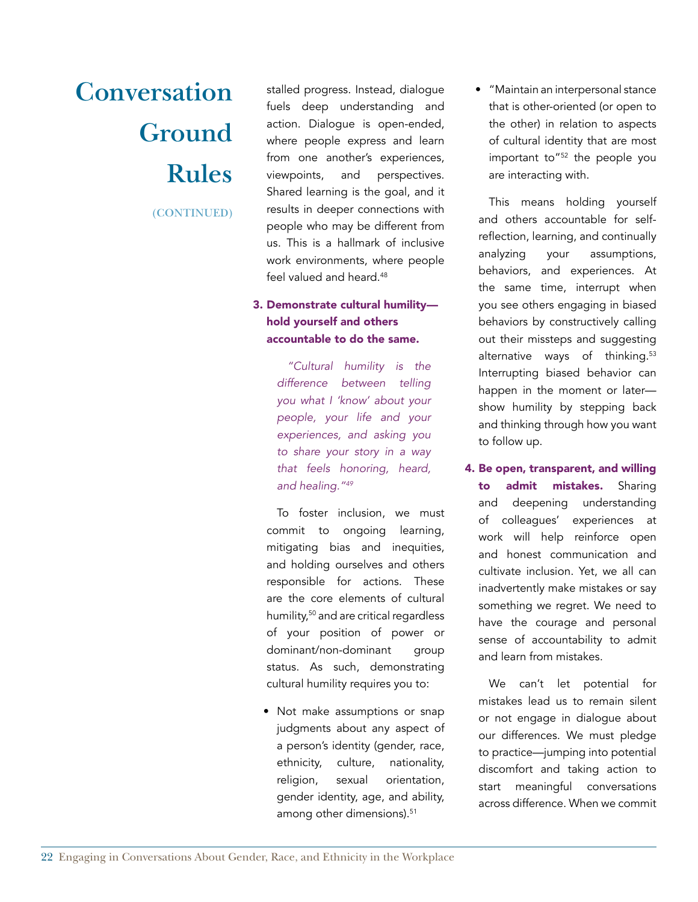**(CONTINUED)**

stalled progress. Instead, dialogue fuels deep understanding and action. Dialogue is open-ended, where people express and learn from one another's experiences, viewpoints, and perspectives. Shared learning is the goal, and it results in deeper connections with people who may be different from us. This is a hallmark of inclusive work environments, where people feel valued and heard.<sup>48</sup>

#### 3. Demonstrate cultural humility hold yourself and others accountable to do the same.

*"Cultural humility is the difference between telling you what I 'know' about your people, your life and your experiences, and asking you to share your story in a way that feels honoring, heard, and healing."49*

To foster inclusion, we must commit to ongoing learning, mitigating bias and inequities, and holding ourselves and others responsible for actions. These are the core elements of cultural humility,50 and are critical regardless of your position of power or dominant/non-dominant group status. As such, demonstrating cultural humility requires you to:

• Not make assumptions or snap judgments about any aspect of a person's identity (gender, race, ethnicity, culture, nationality, religion, sexual orientation, gender identity, age, and ability, among other dimensions).<sup>51</sup>

• "Maintain an interpersonal stance that is other-oriented (or open to the other) in relation to aspects of cultural identity that are most important to"52 the people you are interacting with.

This means holding yourself and others accountable for selfreflection, learning, and continually analyzing your assumptions, behaviors, and experiences. At the same time, interrupt when you see others engaging in biased behaviors by constructively calling out their missteps and suggesting alternative ways of thinking.<sup>53</sup> Interrupting biased behavior can happen in the moment or later show humility by stepping back and thinking through how you want to follow up.

4. Be open, transparent, and willing to admit mistakes. Sharing

and deepening understanding of colleagues' experiences at work will help reinforce open and honest communication and cultivate inclusion. Yet, we all can inadvertently make mistakes or say something we regret. We need to have the courage and personal sense of accountability to admit and learn from mistakes.

We can't let potential for mistakes lead us to remain silent or not engage in dialogue about our differences. We must pledge to practice—jumping into potential discomfort and taking action to start meaningful conversations across difference. When we commit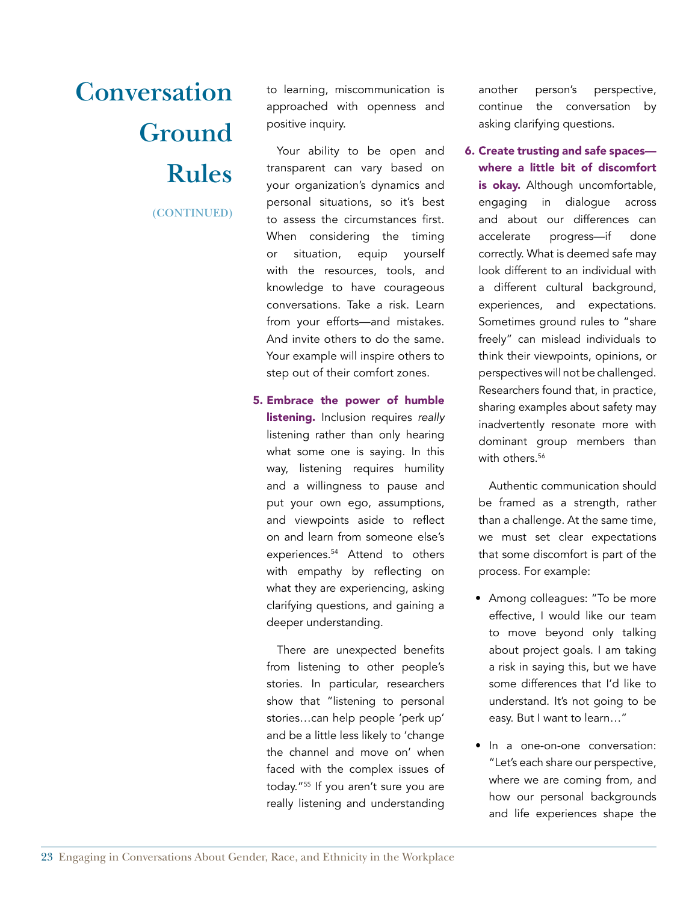**(CONTINUED)**

to learning, miscommunication is approached with openness and positive inquiry.

Your ability to be open and transparent can vary based on your organization's dynamics and personal situations, so it's best to assess the circumstances first. When considering the timing or situation, equip yourself with the resources, tools, and knowledge to have courageous conversations. Take a risk. Learn from your efforts—and mistakes. And invite others to do the same. Your example will inspire others to step out of their comfort zones.

5. Embrace the power of humble listening. Inclusion requires *really* listening rather than only hearing what some one is saying. In this way, listening requires humility and a willingness to pause and put your own ego, assumptions, and viewpoints aside to reflect on and learn from someone else's experiences.54 Attend to others with empathy by reflecting on what they are experiencing, asking clarifying questions, and gaining a deeper understanding.

There are unexpected benefits from listening to other people's stories. In particular, researchers show that "listening to personal stories…can help people 'perk up' and be a little less likely to 'change the channel and move on' when faced with the complex issues of today."<sup>55</sup> If you aren't sure you are really listening and understanding

another person's perspective, continue the conversation by asking clarifying questions.

6. Create trusting and safe spaces where a little bit of discomfort is okay. Although uncomfortable, engaging in dialogue across and about our differences can accelerate progress—if done correctly. What is deemed safe may look different to an individual with a different cultural background, experiences, and expectations. Sometimes ground rules to "share freely" can mislead individuals to think their viewpoints, opinions, or perspectives will not be challenged. Researchers found that, in practice, sharing examples about safety may inadvertently resonate more with dominant group members than with others  $56$ 

Authentic communication should be framed as a strength, rather than a challenge. At the same time, we must set clear expectations that some discomfort is part of the process. For example:

- Among colleagues: "To be more effective, I would like our team to move beyond only talking about project goals. I am taking a risk in saying this, but we have some differences that I'd like to understand. It's not going to be easy. But I want to learn…"
- In a one-on-one conversation: "Let's each share our perspective, where we are coming from, and how our personal backgrounds and life experiences shape the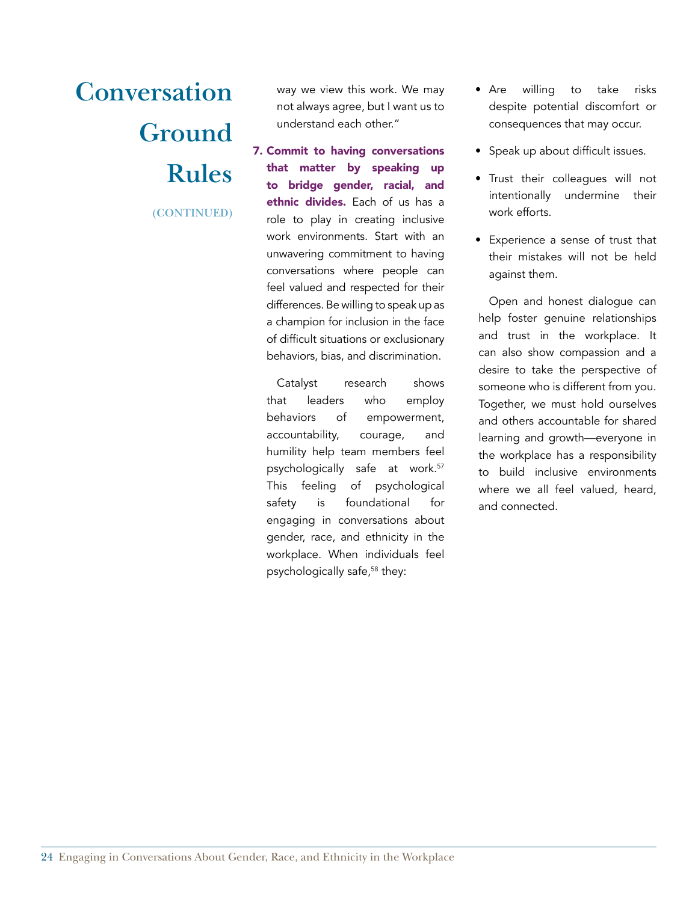**(CONTINUED)**

way we view this work. We may not always agree, but I want us to understand each other."

7. Commit to having conversations that matter by speaking up to bridge gender, racial, and ethnic divides. Each of us has a role to play in creating inclusive work environments. Start with an unwavering commitment to having conversations where people can feel valued and respected for their differences. Be willing to speak up as a champion for inclusion in the face of difficult situations or exclusionary behaviors, bias, and discrimination.

Catalyst research shows that leaders who employ behaviors of empowerment, accountability, courage, and humility help team members feel psychologically safe at work.<sup>57</sup> This feeling of psychological safety is foundational for engaging in conversations about gender, race, and ethnicity in the workplace. When individuals feel psychologically safe,58 they:

- Are willing to take risks despite potential discomfort or consequences that may occur.
- Speak up about difficult issues.
- Trust their colleagues will not intentionally undermine their work efforts.
- Experience a sense of trust that their mistakes will not be held against them.

Open and honest dialogue can help foster genuine relationships and trust in the workplace. It can also show compassion and a desire to take the perspective of someone who is different from you. Together, we must hold ourselves and others accountable for shared learning and growth—everyone in the workplace has a responsibility to build inclusive environments where we all feel valued, heard, and connected.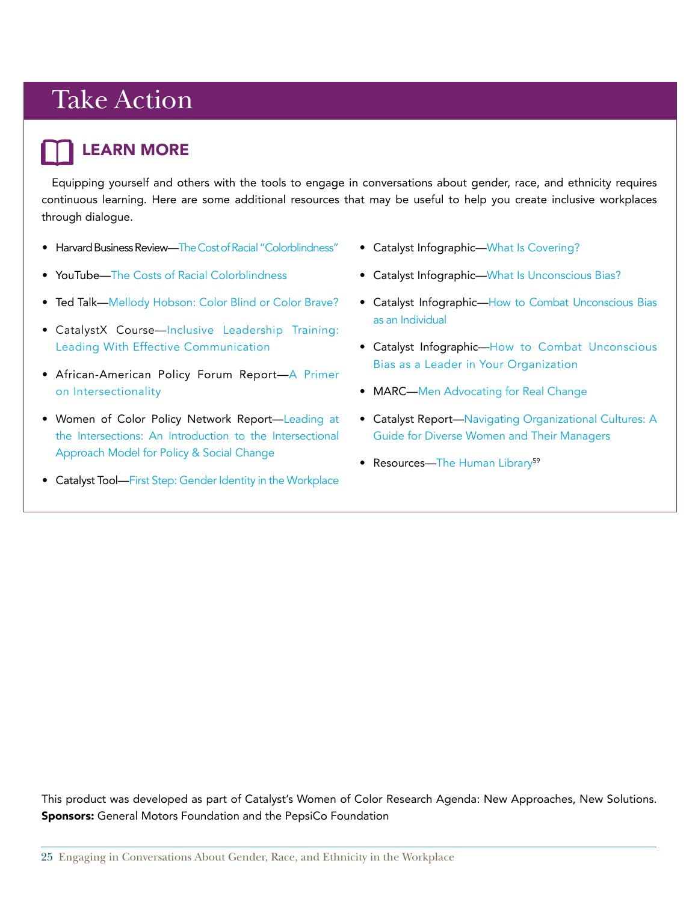#### LEARN MORE

Equipping yourself and others with the tools to engage in conversations about gender, race, and ethnicity requires continuous learning. Here are some additional resources that may be useful to help you create inclusive workplaces through dialogue.

- Harvard Business Review—[The Cost of Racial "Colorblindness](https://hbr.org/2013/07/the-costs-of-racial-color-blindness/ar/1)"
- YouTube—[The Costs of Racial Colorblindness](https://www.youtube.com/watch?v=RG6cVIDneis)
- Ted Talk—<Mellody Hobson: Color Blind or Color Brave?>
- CatalystX Course—[Inclusive Leadership Training:](https://www.edx.org/course/inclusive-leadership-training-leading-catalystx-il5x)  [Leading With Effective Communication](https://www.edx.org/course/inclusive-leadership-training-leading-catalystx-il5x)
- African-American Policy Forum Report—[A Primer](http://static.squarespace.com/static/53f20d90e4b0b80451158d8c/53f399a5e4b029c2ffbe26cc/53f399c8e4b029c2ffbe2b28/1408473544947/59819079-Intersectionality-Primer.pdf?format=original)  [on Intersectionality](http://static.squarespace.com/static/53f20d90e4b0b80451158d8c/53f399a5e4b029c2ffbe26cc/53f399c8e4b029c2ffbe2b28/1408473544947/59819079-Intersectionality-Primer.pdf?format=original)
- Women of Color Policy Network Report—[Leading at](http://www.intergroupresources.com/rc/Intersectionality primer  Women of Color Policy Network.pdf)  [the Intersections: An Introduction to the Intersectional](http://www.intergroupresources.com/rc/Intersectionality primer - Women of Color Policy Network.pdf)  [Approach Model for Policy & Social Change](http://www.intergroupresources.com/rc/Intersectionality primer - Women of Color Policy Network.pdf)
- Catalyst Tool—[First Step: Gender Identity in the Workplace](http://www.catalyst.org/knowledge/first-step-gender-identity-workplace)
- Catalyst Infographic—[What Is Covering?](http://www.catalyst.org/knowledge/what-covering)
- Catalyst Infographic—[What Is Unconscious Bias?](http://www.catalyst.org/knowledge/infographic-what-unconscious-bias)
- Catalyst Infographic—[How to Combat Unconscious Bias](http://www.catalyst.org/knowledge/how-combat-unconscious-bias-individual) [as an Individual](http://www.catalyst.org/knowledge/how-combat-unconscious-bias-individual)
- Catalyst Infographic—[How to Combat Unconscious](http://www.catalyst.org/knowledge/infographic-how-combat-unconscious-bias-leader-your-organization) [Bias as a Leader in Your Organization](http://www.catalyst.org/knowledge/infographic-how-combat-unconscious-bias-leader-your-organization)
- MARC—Men Advocating for Real Change
- Catalyst Report—[Navigating Organizational Cultures: A](http://www.catalyst.org/knowledge/navigating-organizational-cultures-guide-diverse-women-and-their-managers) [Guide for Diverse Women and Their Managers](http://www.catalyst.org/knowledge/navigating-organizational-cultures-guide-diverse-women-and-their-managers)
- Resources—[The Human Library](http://humanlibrary.org/)<sup>59</sup>

This product was developed as part of Catalyst's Women of Color Research Agenda: New Approaches, New Solutions. **Sponsors:** General Motors Foundation and the PepsiCo Foundation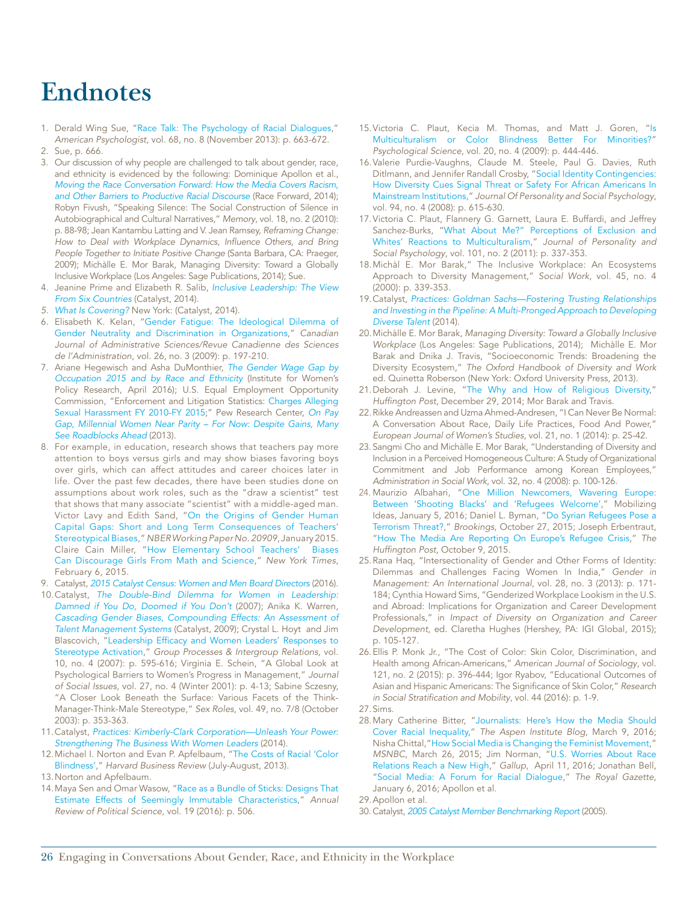### **Endnotes**

- 1. Derald Wing Sue, ["Race Talk: The Psychology of Racial Dialogues](http://dx.doi.org/10.1037/a0033681)," *American Psychologist*, vol. 68, no. 8 (November 2013): p. 663-672.
- 2. Sue, p. 666.
- 3. Our discussion of why people are challenged to talk about gender, race, and ethnicity is evidenced by the following: Dominique Apollon et al., *[Moving the Race Conversation Forward: How the Media Covers Racism,](https://www.raceforward.org/research/reports/moving-race-conversation-forward)  [and Other Barriers to Productive Racial Discourse](https://www.raceforward.org/research/reports/moving-race-conversation-forward)* (Race Forward, 2014); Robyn Fivush, "Speaking Silence: The Social Construction of Silence in Autobiographical and Cultural Narratives," *Memory*, vol. 18, no. 2 (2010): p. 88-98; Jean Kantambu Latting and V. Jean Ramsey, *Reframing Change:*  How to Deal with Workplace Dynamics, Influence Others, and Bring *People Together to Initiate Positive Change* (Santa Barbara, CA: Praeger, 2009); Michàlle E. Mor Barak, Managing Diversity: Toward a Globally Inclusive Workplace (Los Angeles: Sage Publications, 2014); Sue.
- 4. Jeanine Prime and Elizabeth R. Salib, *[Inclusive Leadership: The View](http://www.catalyst.org/knowledge/inclusive-leadership-view-six-countries)  [From Six Countries](http://www.catalyst.org/knowledge/inclusive-leadership-view-six-countries)* (Catalyst, 2014).
- *5. [What Is Covering?](http://www.catalyst.org/knowledge/what-covering)* New York: (Catalyst, 2014).
- 6. Elisabeth K. Kelan, ["Gender Fatigue: The Ideological Dilemma of](http://onlinelibrary.wiley.com/doi/10.1002/cjas.106/abstract)  [Gender Neutrality and Discrimination in Organizations](http://onlinelibrary.wiley.com/doi/10.1002/cjas.106/abstract)," *Canadian Journal of Administrative Sciences/Revue Canadienne des Sciences de l'Administration*, vol. 26, no. 3 (2009): p. 197-210.
- 7. Ariane Hegewisch and Asha DuMonthier, *[The Gender Wage Gap by](http://www.iwpr.org/publications/pubs/the-gender-wage-gap-by-occupation-2015-and-by-race-and-ethnicity) [Occupation 2015 and by Race and Ethnicity](http://www.iwpr.org/publications/pubs/the-gender-wage-gap-by-occupation-2015-and-by-race-and-ethnicity)* (Institute for Women's Policy Research, April 2016); U.S. Equal Employment Opportunity Commission, "Enforcement and Litigation Statistics: [Charges Alleging](https://www.eeoc.gov/eeoc/statistics/enforcement/sexual_harassment_new.cfm)  [Sexual Harassment FY 2010-FY 2015](https://www.eeoc.gov/eeoc/statistics/enforcement/sexual_harassment_new.cfm);" Pew Research Center, *[On Pay](http://www.pewsocialtrends.org/2013/12/11/chapter-4-men-and-women-at-work/) [Gap, Millennial Women Near Parity – For Now: Despite Gains, Many](http://www.pewsocialtrends.org/2013/12/11/chapter-4-men-and-women-at-work/) [See Roadblocks Ahead](http://www.pewsocialtrends.org/2013/12/11/chapter-4-men-and-women-at-work/)* (2013).
- 8. For example, in education, research shows that teachers pay more attention to boys versus girls and may show biases favoring boys over girls, which can affect attitudes and career choices later in life. Over the past few decades, there have been studies done on assumptions about work roles, such as the "draw a scientist" test that shows that many associate "scientist" with a middle-aged man. Victor Lavy and Edith Sand, "[On the Origins of Gender Human](http://www.nber.org/papers/w20909)  [Capital Gaps: Short and Long Term Consequences of Teachers'](http://www.nber.org/papers/w20909) [Stereotypical Biases](http://www.nber.org/papers/w20909)," *NBER Working Paper No. 20909*, January 2015. Claire Cain Miller, "[How Elementary School Teachers' Biases](http://www.nytimes.com/2015/02/07/upshot/how-elementary-school-teachers-biases-can-discourage-girls-from-math-and-science.html?_r=0) [Can Discourage Girls From Math and Science](http://www.nytimes.com/2015/02/07/upshot/how-elementary-school-teachers-biases-can-discourage-girls-from-math-and-science.html?_r=0)," *New York Times*, February 6, 2015.
- 9. Catalyst, [2015 Catalyst Census: Women and Men Board Directors](http://www.catalyst.org/knowledge/2015-catalyst-census-women-and-men-board-directors) (2016).
- 10.Catalyst, *[The Double-Bind Dilemma for Women in Leadership:](http://www.catalyst.org/system/files/The_Double_Bind_Dilemma_for_Women_in_Leadership_Damned_if_You_Do_Doomed_if_You_Dont.pdf) [Damned if You Do, Doomed if You Don't](http://www.catalyst.org/system/files/The_Double_Bind_Dilemma_for_Women_in_Leadership_Damned_if_You_Do_Doomed_if_You_Dont.pdf)* (2007); Anika K. Warren, *[Cascading Gender Biases, Compounding Effects: An Assessment of](http://www.catalyst.org/knowledge/cascading-gender-biases-compounding-effects-assessment-talent-management-systems) [Talent Management Systems](http://www.catalyst.org/knowledge/cascading-gender-biases-compounding-effects-assessment-talent-management-systems)* (Catalyst, 2009); Crystal L. Hoyt and Jim Blascovich, "[Leadership Efficacy and Women Leaders' Responses to](http://www.ssoar.info/ssoar/bitstream/handle/document/22845/ssoar-gpir-2007-4-hoyt_et_al-leadership_efficacy_and_women_leaders.pdf?sequence=1) [Stereotype Activation](http://www.ssoar.info/ssoar/bitstream/handle/document/22845/ssoar-gpir-2007-4-hoyt_et_al-leadership_efficacy_and_women_leaders.pdf?sequence=1)," *Group Processes & Intergroup Relations,* vol. 10, no. 4 (2007): p. 595-616; Virginia E. Schein, "A Global Look at Psychological Barriers to Women's Progress in Management," *Journal of Social Issues*, vol. 27, no. 4 (Winter 2001): p. 4-13; Sabine Sczesny, "A Closer Look Beneath the Surface: Various Facets of the Think-Manager-Think-Male Stereotype," *Sex Roles*, vol. 49, no. 7/8 (October 2003): p. 353-363.
- 11.Catalyst, *[Practices: Kimberly-Clark Corporation—Unleash Your Power:](http://www.catalyst.org/knowledge/kimberly-clark-corporation-unleash-your-power-strengthening-business-women-leaders)  [Strengthening The Business With Women Leaders](http://www.catalyst.org/knowledge/kimberly-clark-corporation-unleash-your-power-strengthening-business-women-leaders)* (2014).
- 12.Michael I. Norton and Evan P. Apfelbaum, ["The Costs of Racial 'Color](https://hbr.org/2013/07/the-costs-of-racial-color-blindness/ar/1) [Blindness'](https://hbr.org/2013/07/the-costs-of-racial-color-blindness/ar/1)," *Harvard Business Review* (July-August, 2013).
- 13.Norton and Apfelbaum.
- 14.Maya Sen and Omar Wasow, ["Race as a Bundle of Sticks: Designs That](http://scholar.harvard.edu/files/msen/files/race_causality.pdf)  [Estimate Effects of Seemingly Immutable Characteristics](http://scholar.harvard.edu/files/msen/files/race_causality.pdf)," *Annual Review of Political Science*, vol. 19 (2016): p. 506.
- 15.Victoria C. Plaut, Kecia M. Thomas, and Matt J. Goren, ["Is](https://www.law.berkeley.edu/files/plaut_thomas_goren_2009.pdf) [Multiculturalism or Color Blindness Better For Minorities?](https://www.law.berkeley.edu/files/plaut_thomas_goren_2009.pdf)" *Psychological Science*, vol. 20, no. 4 (2009): p. 444-446.
- 16.Valerie Purdie-Vaughns, Claude M. Steele, Paul G. Davies, Ruth Ditlmann, and Jennifer Randall Crosby, ["Social Identity Contingencies:](http://www.columbia.edu/cu/psychology/vpvaughns/assets/pdfs/Social Identity Contingencies (2008).pdf) [How Diversity Cues Signal Threat or Safety For African Americans In](http://www.columbia.edu/cu/psychology/vpvaughns/assets/pdfs/Social Identity Contingencies (2008).pdf) [Mainstream Institutions](http://www.columbia.edu/cu/psychology/vpvaughns/assets/pdfs/Social Identity Contingencies (2008).pdf)," *Journal Of Personality and Social Psychology*, vol. 94, no. 4 (2008): p. 615-630.
- 17.Victoria C. Plaut, Flannery G. Garnett, Laura E. Buffardi, and Jeffrey Sanchez-Burks, "[What About Me?" Perceptions of Exclusion and](https://www.law.berkeley.edu/files/What_about_me_JPSP.pdf) [Whites' Reactions to Multiculturalism](https://www.law.berkeley.edu/files/What_about_me_JPSP.pdf)," *Journal of Personality and Social Psychology*, vol. 101, no. 2 (2011): p. 337-353.
- 18.Michàl E. Mor Barak," The Inclusive Workplace: An Ecosystems Approach to Diversity Management," *Social Work*, vol. 45, no. 4 (2000): p. 339-353.
- 19.Catalyst, *[Practices: Goldman Sachs—Fostering Trusting Relationships](http://www.catalyst.org/knowledge/goldman-sachs-fostering-trusting-relationships-and-investing-pipeline-multi-pronged) [and Investing in the Pipeline: A Multi-Pronged Approach to Developing](http://www.catalyst.org/knowledge/goldman-sachs-fostering-trusting-relationships-and-investing-pipeline-multi-pronged) [Diverse Talent](http://www.catalyst.org/knowledge/goldman-sachs-fostering-trusting-relationships-and-investing-pipeline-multi-pronged)* (2014).
- 20.Michàlle E. Mor Barak, *Managing Diversity: Toward a Globally Inclusive Workplace* (Los Angeles: Sage Publications, 2014); Michàlle E. Mor Barak and Dnika J. Travis, "Socioeconomic Trends: Broadening the Diversity Ecosystem," *The Oxford Handbook of Diversity and Work* ed. Quinetta Roberson (New York: Oxford University Press, 2013).
- 21.Deborah J. Levine, "[The Why and How of Religious Diversity,](http://www.huffingtonpost.com/deborah-j-levine/the-why-how-of-religious-_b_6381842.html)" Huffington Post, December 29, 2014; Mor Barak and Travis.
- 22.Rikke Andreassen and Uzma Ahmed-Andresen, "I Can Never Be Normal: A Conversation About Race, Daily Life Practices, Food And Power," *European Journal of Women's Studies*, vol. 21, no. 1 (2014): p. 25-42.
- 23. Sangmi Cho and Michàlle E. Mor Barak, "Understanding of Diversity and Inclusion in a Perceived Homogeneous Culture: A Study of Organizational Commitment and Job Performance among Korean Employees," *Administration in Social Work*, vol. 32, no. 4 (2008): p. 100-126.
- 24. Maurizio Albahari, "[One Million Newcomers, Wavering Europe:](https://mobilizingideas.wordpress.com/2016/01/05/one-million-newcomers-wavering-europe-between-shooting-blacks-and-refugees-welcome/) [Between 'Shooting Blacks' and 'Refugees Welcome](https://mobilizingideas.wordpress.com/2016/01/05/one-million-newcomers-wavering-europe-between-shooting-blacks-and-refugees-welcome/)'," Mobilizing Ideas, January 5, 2016; Daniel L. Byman, ["Do Syrian Refugees Pose a](http://www.brookings.edu/blogs/markaz/posts/2015/10/27-syrian-refugees-terrorism-threat-byman) [Terrorism Threat?](http://www.brookings.edu/blogs/markaz/posts/2015/10/27-syrian-refugees-terrorism-threat-byman)," *Brookings*, October 27, 2015; Joseph Erbentraut, "[How The Media Are Reporting On Europe's Refugee Crisis](http://www.huffingtonpost.com/entry/refugee-crisis-media-coverage_us_5615952ce4b0cf9984d850ec)," *The*  Huffington Post, October 9, 2015.
- 25.Rana Haq, "Intersectionality of Gender and Other Forms of Identity: Dilemmas and Challenges Facing Women In India," *Gender in Management: An International Journal*, vol. 28, no. 3 (2013): p. 171- 184; Cynthia Howard Sims, "Genderized Workplace Lookism in the U.S. and Abroad: Implications for Organization and Career Development Professionals," in *Impact of Diversity on Organization and Career Development*, ed. Claretha Hughes (Hershey, PA: IGI Global, 2015); p. 105-127.
- 26.Ellis P. Monk Jr., "The Cost of Color: Skin Color, Discrimination, and Health among African-Americans," *American Journal of Sociology*, vol. 121, no. 2 (2015): p. 396-444; Igor Ryabov, "Educational Outcomes of Asian and Hispanic Americans: The Significance of Skin Color," *Research*  in Social Stratification and Mobility, vol. 44 (2016): p. 1-9.
- 27.Sims.
- 28.Mary Catherine Bitter, ["Journalists: Here's How the Media Should](http://www.aspeninstitute.org/about/blog/journalists-heres-how-the-media-should-cover-racial-inequality)  [Cover Racial Inequality](http://www.aspeninstitute.org/about/blog/journalists-heres-how-the-media-should-cover-racial-inequality)," *The Aspen Institute Blog*, March 9, 2016; Nisha Chittal,["How Social Media is Changing the Feminist Movement](http://www.msnbc.com/msnbc/how-social-media-changing-the-feminist-movement)," *MSNBC*, March 26, 2015; Jim Norman, "[U.S. Worries About Race](http://www.gallup.com/poll/190574/worries-race-relations-reach-new-high.aspx)  [Relations Reach a New High](http://www.gallup.com/poll/190574/worries-race-relations-reach-new-high.aspx)," *Gallup*, April 11, 2016; Jonathan Bell, "[Social Media: A Forum for Racial Dialogue](http://www.royalgazette.com/article/20160106/NEWS/151209668)," *The Royal Gazette*, January 6, 2016; Apollon et al.

30. Catalyst, *[2005 Catalyst Member Benchmarking Report](http://www.catalyst.org/knowledge/2005-catalyst-member-benchmarking-report)* (2005).

<sup>29.</sup>Apollon et al.